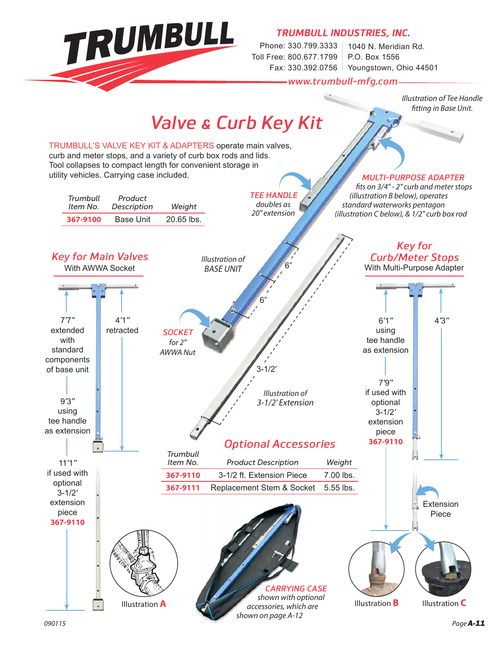TRUMBULL

*TRUMBULL INDUSTRIES, INC.*

Phone: 330.799.3333 | 1040 N. Meridian Rd. Toll Free: 800.677.1799 Fax: 330.392.0756 Youngstown, Ohio 44501 P.O. Box 1556

*www.trumbull-mfg.com*